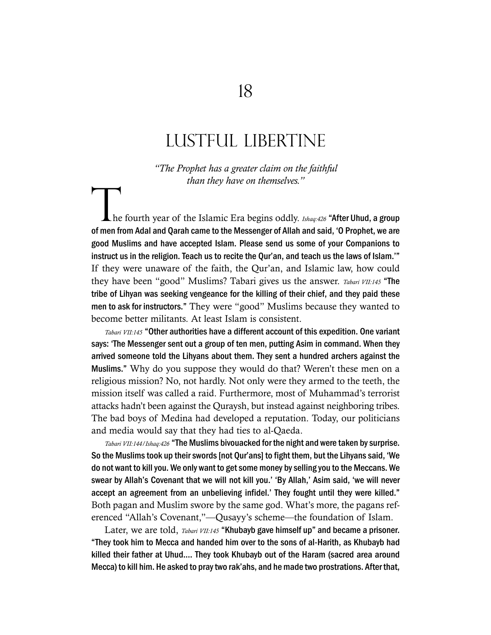## LUSTFUL LIBERTINE

*"The Prophet has a greater claim on the faithful than they have on themselves."*

**The fourth year of the Islamic Era begins oddly.** *Ishaq:426* "After Uhud, a group of men from Adal and Qarah came to the Messenger of Allah and said, 'O Prophet, we are good Muslims and have accepted Islam. Please send us some of your Companions to instruct us in the religion. Teach us to recite the Qur'an, and teach us the laws of Islam.'" If they were unaware of the faith, the Qur'an, and Islamic law, how could they have been "good" Muslims? Tabari gives us the answer. *Tabari VII:145* "The tribe of Lihyan was seeking vengeance for the killing of their chief, and they paid these men to ask for instructors." They were "good" Muslims because they wanted to become better militants. At least Islam is consistent.

*Tabari VII:145* "Other authorities have a different account of this expedition. One variant says: 'The Messenger sent out a group of ten men, putting Asim in command. When they arrived someone told the Lihyans about them. They sent a hundred archers against the Muslims." Why do you suppose they would do that? Weren't these men on a religious mission? No, not hardly. Not only were they armed to the teeth, the mission itself was called a raid. Furthermore, most of Muhammad's terrorist attacks hadn't been against the Quraysh, but instead against neighboring tribes. The bad boys of Medina had developed a reputation. Today, our politicians and media would say that they had ties to al-Qaeda.

*Tabari VII:144/Ishaq:426* "The Muslims bivouacked for the night and were taken by surprise. So the Muslims took up their swords [not Qur'ans] to fight them, but the Lihyans said, 'We do not want to kill you. We only want to get some money by selling you to the Meccans. We swear by Allah's Covenant that we will not kill you.' 'By Allah,' Asim said, 'we will never accept an agreement from an unbelieving infidel.' They fought until they were killed." Both pagan and Muslim swore by the same god. What's more, the pagans referenced "Allah's Covenant,"—Qusayy's scheme—the foundation of Islam.

Later, we are told, *Tabari VII:145* "Khubayb gave himself up" and became a prisoner. "They took him to Mecca and handed him over to the sons of al-Harith, as Khubayb had killed their father at Uhud.… They took Khubayb out of the Haram (sacred area around Mecca) to kill him. He asked to pray two rak'ahs, and he made two prostrations. After that,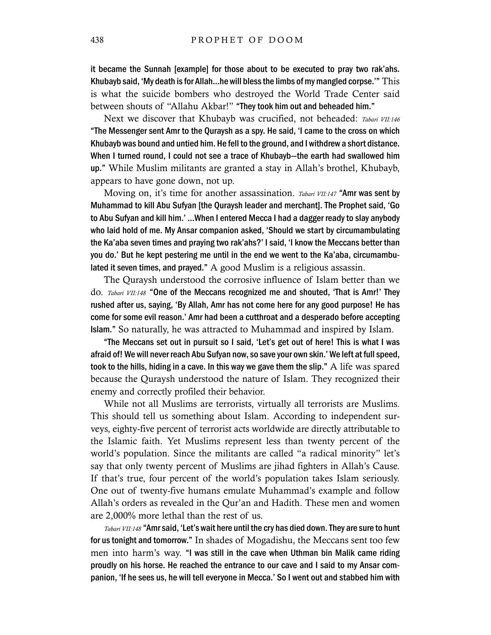it became the Sunnah [example] for those about to be executed to pray two rak'ahs. Khubayb said, 'My death is for Allah…he will bless the limbs of my mangled corpse.'" This is what the suicide bombers who destroyed the World Trade Center said between shouts of "Allahu Akbar!" "They took him out and beheaded him."

Next we discover that Khubayb was crucified, not beheaded: *Tabari VII:146* "The Messenger sent Amr to the Quraysh as a spy. He said, 'I came to the cross on which Khubayb was bound and untied him. He fell to the ground, and I withdrew a short distance. When I turned round, I could not see a trace of Khubayb—the earth had swallowed him up." While Muslim militants are granted a stay in Allah's brothel, Khubayb, appears to have gone down, not up.

Moving on, it's time for another assassination. *Tabari VII:147* "Amr was sent by Muhammad to kill Abu Sufyan [the Quraysh leader and merchant]. The Prophet said, 'Go to Abu Sufyan and kill him.' …When I entered Mecca I had a dagger ready to slay anybody who laid hold of me. My Ansar companion asked, 'Should we start by circumambulating the Ka'aba seven times and praying two rak'ahs?' I said, 'I know the Meccans better than you do.' But he kept pestering me until in the end we went to the Ka'aba, circumambulated it seven times, and prayed." A good Muslim is a religious assassin.

The Quraysh understood the corrosive influence of Islam better than we do. *Tabari VII:148* "One of the Meccans recognized me and shouted, 'That is Amr!' They rushed after us, saying, 'By Allah, Amr has not come here for any good purpose! He has come for some evil reason.' Amr had been a cutthroat and a desperado before accepting Islam." So naturally, he was attracted to Muhammad and inspired by Islam.

"The Meccans set out in pursuit so I said, 'Let's get out of here! This is what I was afraid of! We will never reach Abu Sufyan now, so save your own skin.' We left at full speed, took to the hills, hiding in a cave. In this way we gave them the slip." A life was spared because the Quraysh understood the nature of Islam. They recognized their enemy and correctly profiled their behavior.

While not all Muslims are terrorists, virtually all terrorists are Muslims. This should tell us something about Islam. According to independent surveys, eighty-five percent of terrorist acts worldwide are directly attributable to the Islamic faith. Yet Muslims represent less than twenty percent of the world's population. Since the militants are called "a radical minority" let's say that only twenty percent of Muslims are jihad fighters in Allah's Cause. If that's true, four percent of the world's population takes Islam seriously. One out of twenty-five humans emulate Muhammad's example and follow Allah's orders as revealed in the Qur'an and Hadith. These men and women are 2,000% more lethal than the rest of us.

*Tabari VII:148* "Amr said, 'Let's wait here until the cry has died down. They are sure to hunt for us tonight and tomorrow." In shades of Mogadishu, the Meccans sent too few men into harm's way. "I was still in the cave when Uthman bin Malik came riding proudly on his horse. He reached the entrance to our cave and I said to my Ansar companion, 'If he sees us, he will tell everyone in Mecca.' So I went out and stabbed him with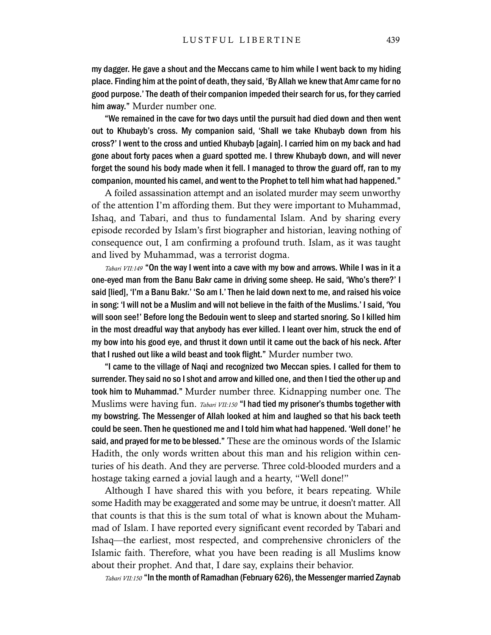my dagger. He gave a shout and the Meccans came to him while I went back to my hiding place. Finding him at the point of death, they said, 'By Allah we knew that Amr came for no good purpose.' The death of their companion impeded their search for us, for they carried him away." Murder number one.

"We remained in the cave for two days until the pursuit had died down and then went out to Khubayb's cross. My companion said, 'Shall we take Khubayb down from his cross?' I went to the cross and untied Khubayb [again]. I carried him on my back and had gone about forty paces when a guard spotted me. I threw Khubayb down, and will never forget the sound his body made when it fell. I managed to throw the guard off, ran to my companion, mounted his camel, and went to the Prophet to tell him what had happened."

A foiled assassination attempt and an isolated murder may seem unworthy of the attention I'm affording them. But they were important to Muhammad, Ishaq, and Tabari, and thus to fundamental Islam. And by sharing every episode recorded by Islam's first biographer and historian, leaving nothing of consequence out, I am confirming a profound truth. Islam, as it was taught and lived by Muhammad, was a terrorist dogma.

*Tabari VII:149* "On the way I went into a cave with my bow and arrows. While I was in it a one-eyed man from the Banu Bakr came in driving some sheep. He said, 'Who's there?' I said [lied], 'I'm a Banu Bakr.' 'So am I.' Then he laid down next to me, and raised his voice in song: 'I will not be a Muslim and will not believe in the faith of the Muslims.' I said, 'You will soon see!' Before long the Bedouin went to sleep and started snoring. So I killed him in the most dreadful way that anybody has ever killed. I leant over him, struck the end of my bow into his good eye, and thrust it down until it came out the back of his neck. After that I rushed out like a wild beast and took flight." Murder number two.

"I came to the village of Naqi and recognized two Meccan spies. I called for them to surrender. They said no so I shot and arrow and killed one, and then I tied the other up and took him to Muhammad." Murder number three. Kidnapping number one. The Muslims were having fun. *Tabari VII:150* "I had tied my prisoner's thumbs together with my bowstring. The Messenger of Allah looked at him and laughed so that his back teeth could be seen. Then he questioned me and I told him what had happened. 'Well done!' he said, and prayed for me to be blessed." These are the ominous words of the Islamic Hadith, the only words written about this man and his religion within centuries of his death. And they are perverse. Three cold-blooded murders and a hostage taking earned a jovial laugh and a hearty, "Well done!"

Although I have shared this with you before, it bears repeating. While some Hadith may be exaggerated and some may be untrue, it doesn't matter. All that counts is that this is the sum total of what is known about the Muhammad of Islam. I have reported every significant event recorded by Tabari and Ishaq—the earliest, most respected, and comprehensive chroniclers of the Islamic faith. Therefore, what you have been reading is all Muslims know about their prophet. And that, I dare say, explains their behavior.

*Tabari VII:150* "In the month of Ramadhan (February 626), the Messenger married Zaynab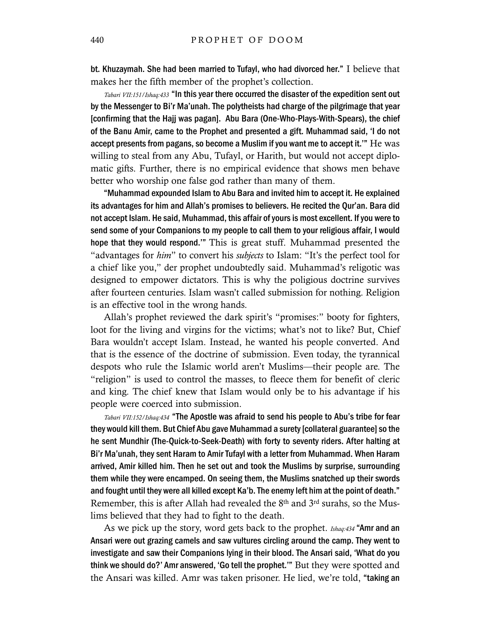bt. Khuzaymah. She had been married to Tufayl, who had divorced her." I believe that makes her the fifth member of the prophet's collection.

*Tabari VII:151/Ishaq:433* "In this year there occurred the disaster of the expedition sent out by the Messenger to Bi'r Ma'unah. The polytheists had charge of the pilgrimage that year [confirming that the Hajj was pagan]. Abu Bara (One-Who-Plays-With-Spears), the chief of the Banu Amir, came to the Prophet and presented a gift. Muhammad said, 'I do not accept presents from pagans, so become a Muslim if you want me to accept it.'" He was willing to steal from any Abu, Tufayl, or Harith, but would not accept diplomatic gifts. Further, there is no empirical evidence that shows men behave better who worship one false god rather than many of them.

"Muhammad expounded Islam to Abu Bara and invited him to accept it. He explained its advantages for him and Allah's promises to believers. He recited the Qur'an. Bara did not accept Islam. He said, Muhammad, this affair of yours is most excellent. If you were to send some of your Companions to my people to call them to your religious affair, I would hope that they would respond.'" This is great stuff. Muhammad presented the "advantages for *him*" to convert his *subjects* to Islam: "It's the perfect tool for a chief like you," der prophet undoubtedly said. Muhammad's religotic was designed to empower dictators. This is why the poligious doctrine survives after fourteen centuries. Islam wasn't called submission for nothing. Religion is an effective tool in the wrong hands.

Allah's prophet reviewed the dark spirit's "promises:" booty for fighters, loot for the living and virgins for the victims; what's not to like? But, Chief Bara wouldn't accept Islam. Instead, he wanted his people converted. And that is the essence of the doctrine of submission. Even today, the tyrannical despots who rule the Islamic world aren't Muslims—their people are. The "religion" is used to control the masses, to fleece them for benefit of cleric and king. The chief knew that Islam would only be to his advantage if his people were coerced into submission.

*Tabari VII:152/Ishaq:434* "The Apostle was afraid to send his people to Abu's tribe for fear they would kill them. But Chief Abu gave Muhammad a surety [collateral guarantee] so the he sent Mundhir (The-Quick-to-Seek-Death) with forty to seventy riders. After halting at Bi'r Ma'unah, they sent Haram to Amir Tufayl with a letter from Muhammad. When Haram arrived, Amir killed him. Then he set out and took the Muslims by surprise, surrounding them while they were encamped. On seeing them, the Muslims snatched up their swords and fought until they were all killed except Ka'b. The enemy left him at the point of death." Remember, this is after Allah had revealed the 8<sup>th</sup> and 3<sup>rd</sup> surahs, so the Muslims believed that they had to fight to the death.

As we pick up the story, word gets back to the prophet. *Ishaq:434* "Amr and an Ansari were out grazing camels and saw vultures circling around the camp. They went to investigate and saw their Companions lying in their blood. The Ansari said, 'What do you think we should do?' Amr answered, 'Go tell the prophet.'" But they were spotted and the Ansari was killed. Amr was taken prisoner. He lied, we're told, "taking an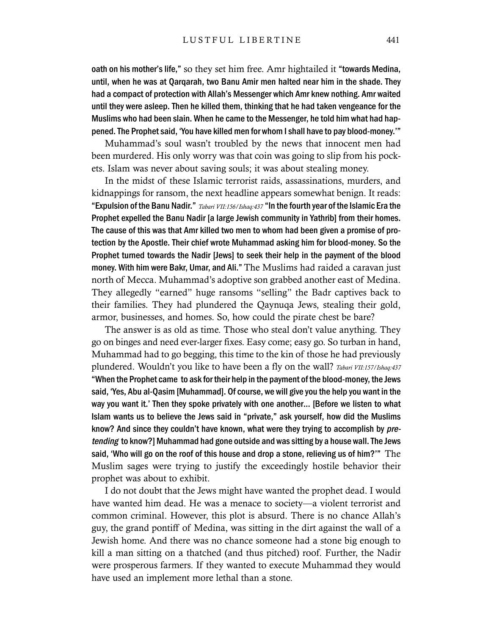oath on his mother's life," so they set him free. Amr hightailed it "towards Medina, until, when he was at Qarqarah, two Banu Amir men halted near him in the shade. They had a compact of protection with Allah's Messenger which Amr knew nothing. Amr waited until they were asleep. Then he killed them, thinking that he had taken vengeance for the Muslims who had been slain. When he came to the Messenger, he told him what had happened. The Prophet said, 'You have killed men for whom I shall have to pay blood-money.'"

Muhammad's soul wasn't troubled by the news that innocent men had been murdered. His only worry was that coin was going to slip from his pockets. Islam was never about saving souls; it was about stealing money.

In the midst of these Islamic terrorist raids, assassinations, murders, and kidnappings for ransom, the next headline appears somewhat benign. It reads: "Expulsion of the Banu Nadir." *Tabari VII:156/Ishaq:437* "In the fourth year of the Islamic Era the Prophet expelled the Banu Nadir [a large Jewish community in Yathrib] from their homes. The cause of this was that Amr killed two men to whom had been given a promise of protection by the Apostle. Their chief wrote Muhammad asking him for blood-money. So the Prophet turned towards the Nadir [Jews] to seek their help in the payment of the blood money. With him were Bakr, Umar, and Ali." The Muslims had raided a caravan just north of Mecca. Muhammad's adoptive son grabbed another east of Medina. They allegedly "earned" huge ransoms "selling" the Badr captives back to their families. They had plundered the Qaynuqa Jews, stealing their gold, armor, businesses, and homes. So, how could the pirate chest be bare?

The answer is as old as time. Those who steal don't value anything. They go on binges and need ever-larger fixes. Easy come; easy go. So turban in hand, Muhammad had to go begging, this time to the kin of those he had previously plundered. Wouldn't you like to have been a fly on the wall? *Tabari VII:157/Ishaq:437* "When the Prophet came to ask for their help in the payment of the blood-money, the Jews said, 'Yes, Abu al-Qasim [Muhammad]. Of course, we will give you the help you want in the way you want it.' Then they spoke privately with one another… [Before we listen to what Islam wants us to believe the Jews said in "private," ask yourself, how did the Muslims know? And since they couldn't have known, what were they trying to accomplish by pretending to know?] Muhammad had gone outside and was sitting by a house wall. The Jews said, 'Who will go on the roof of this house and drop a stone, relieving us of him?'" The Muslim sages were trying to justify the exceedingly hostile behavior their prophet was about to exhibit.

I do not doubt that the Jews might have wanted the prophet dead. I would have wanted him dead. He was a menace to society—a violent terrorist and common criminal. However, this plot is absurd. There is no chance Allah's guy, the grand pontiff of Medina, was sitting in the dirt against the wall of a Jewish home. And there was no chance someone had a stone big enough to kill a man sitting on a thatched (and thus pitched) roof. Further, the Nadir were prosperous farmers. If they wanted to execute Muhammad they would have used an implement more lethal than a stone.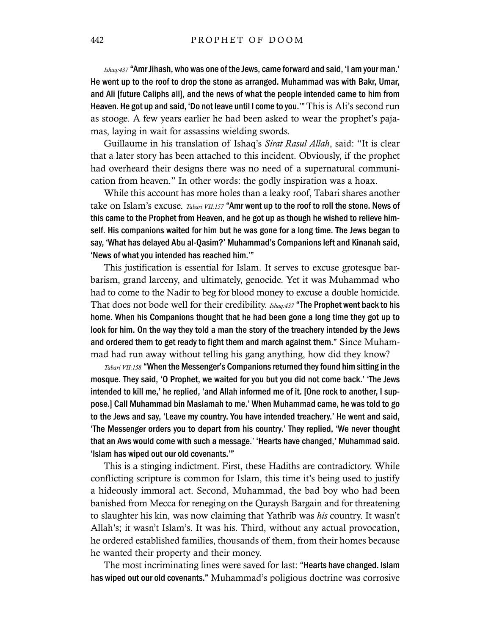*Ishaq:437* "Amr Jihash, who was one of the Jews, came forward and said, 'I am your man.' He went up to the roof to drop the stone as arranged. Muhammad was with Bakr, Umar, and Ali [future Caliphs all], and the news of what the people intended came to him from Heaven. He got up and said, 'Do not leave until I come to you.'" This is Ali's second run as stooge. A few years earlier he had been asked to wear the prophet's pajamas, laying in wait for assassins wielding swords.

Guillaume in his translation of Ishaq's *Sirat Rasul Allah*, said: "It is clear that a later story has been attached to this incident. Obviously, if the prophet had overheard their designs there was no need of a supernatural communication from heaven." In other words: the godly inspiration was a hoax.

While this account has more holes than a leaky roof, Tabari shares another take on Islam's excuse. *Tabari VII:157* "Amr went up to the roof to roll the stone. News of this came to the Prophet from Heaven, and he got up as though he wished to relieve himself. His companions waited for him but he was gone for a long time. The Jews began to say, 'What has delayed Abu al-Qasim?' Muhammad's Companions left and Kinanah said, 'News of what you intended has reached him.'"

This justification is essential for Islam. It serves to excuse grotesque barbarism, grand larceny, and ultimately, genocide. Yet it was Muhammad who had to come to the Nadir to beg for blood money to excuse a double homicide. That does not bode well for their credibility. *Ishaq:437* "The Prophet went back to his home. When his Companions thought that he had been gone a long time they got up to look for him. On the way they told a man the story of the treachery intended by the Jews and ordered them to get ready to fight them and march against them." Since Muhammad had run away without telling his gang anything, how did they know?

*Tabari VII:158* "When the Messenger's Companions returned they found him sitting in the mosque. They said, 'O Prophet, we waited for you but you did not come back.' 'The Jews intended to kill me,' he replied, 'and Allah informed me of it. [One rock to another, I suppose.] Call Muhammad bin Maslamah to me.' When Muhammad came, he was told to go to the Jews and say, 'Leave my country. You have intended treachery.' He went and said, 'The Messenger orders you to depart from his country.' They replied, 'We never thought that an Aws would come with such a message.' 'Hearts have changed,' Muhammad said. 'Islam has wiped out our old covenants.'"

This is a stinging indictment. First, these Hadiths are contradictory. While conflicting scripture is common for Islam, this time it's being used to justify a hideously immoral act. Second, Muhammad, the bad boy who had been banished from Mecca for reneging on the Quraysh Bargain and for threatening to slaughter his kin, was now claiming that Yathrib was *his* country. It wasn't Allah's; it wasn't Islam's. It was his. Third, without any actual provocation, he ordered established families, thousands of them, from their homes because he wanted their property and their money.

The most incriminating lines were saved for last: "Hearts have changed. Islam has wiped out our old covenants." Muhammad's poligious doctrine was corrosive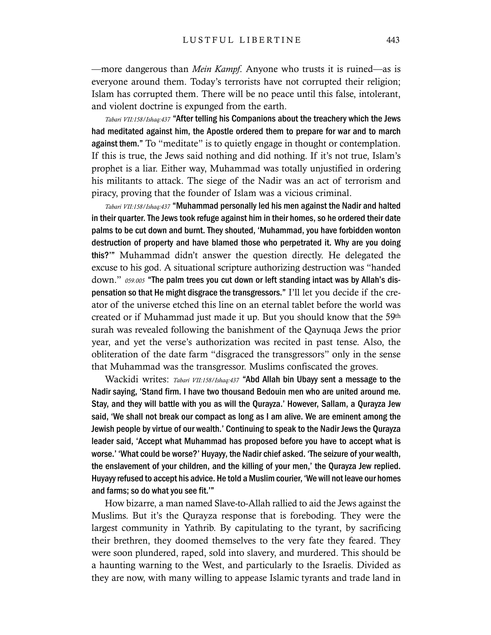—more dangerous than *Mein Kampf*. Anyone who trusts it is ruined—as is everyone around them. Today's terrorists have not corrupted their religion; Islam has corrupted them. There will be no peace until this false, intolerant, and violent doctrine is expunged from the earth.

*Tabari VII:158/Ishaq:437* "After telling his Companions about the treachery which the Jews had meditated against him, the Apostle ordered them to prepare for war and to march against them." To "meditate" is to quietly engage in thought or contemplation. If this is true, the Jews said nothing and did nothing. If it's not true, Islam's prophet is a liar. Either way, Muhammad was totally unjustified in ordering his militants to attack. The siege of the Nadir was an act of terrorism and piracy, proving that the founder of Islam was a vicious criminal.

*Tabari VII:158/Ishaq:437* "Muhammad personally led his men against the Nadir and halted in their quarter. The Jews took refuge against him in their homes, so he ordered their date palms to be cut down and burnt. They shouted, 'Muhammad, you have forbidden wonton destruction of property and have blamed those who perpetrated it. Why are you doing this?'" Muhammad didn't answer the question directly. He delegated the excuse to his god. A situational scripture authorizing destruction was "handed down." *059.005* "The palm trees you cut down or left standing intact was by Allah's dispensation so that He might disgrace the transgressors." I'll let you decide if the creator of the universe etched this line on an eternal tablet before the world was created or if Muhammad just made it up. But you should know that the 59th surah was revealed following the banishment of the Qaynuqa Jews the prior year, and yet the verse's authorization was recited in past tense. Also, the obliteration of the date farm "disgraced the transgressors" only in the sense that Muhammad was the transgressor. Muslims confiscated the groves.

Wackidi writes: *Tabari VII:158/Ishaq:437* "Abd Allah bin Ubayy sent a message to the Nadir saying, 'Stand firm. I have two thousand Bedouin men who are united around me. Stay, and they will battle with you as will the Qurayza.' However, Sallam, a Qurayza Jew said, 'We shall not break our compact as long as I am alive. We are eminent among the Jewish people by virtue of our wealth.' Continuing to speak to the Nadir Jews the Qurayza leader said, 'Accept what Muhammad has proposed before you have to accept what is worse.' 'What could be worse?' Huyayy, the Nadir chief asked. 'The seizure of your wealth, the enslavement of your children, and the killing of your men,' the Qurayza Jew replied. Huyayy refused to accept his advice. He told a Muslim courier, 'We will not leave our homes and farms; so do what you see fit.'"

How bizarre, a man named Slave-to-Allah rallied to aid the Jews against the Muslims. But it's the Qurayza response that is foreboding. They were the largest community in Yathrib. By capitulating to the tyrant, by sacrificing their brethren, they doomed themselves to the very fate they feared. They were soon plundered, raped, sold into slavery, and murdered. This should be a haunting warning to the West, and particularly to the Israelis. Divided as they are now, with many willing to appease Islamic tyrants and trade land in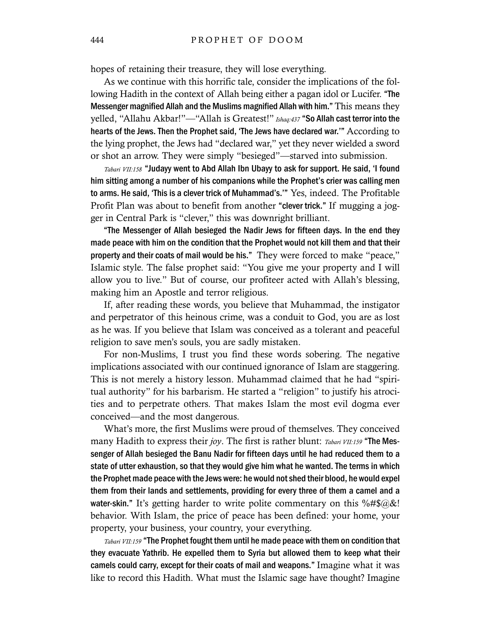hopes of retaining their treasure, they will lose everything.

As we continue with this horrific tale, consider the implications of the following Hadith in the context of Allah being either a pagan idol or Lucifer. "The Messenger magnified Allah and the Muslims magnified Allah with him." This means they yelled, "Allahu Akbar!"—"Allah is Greatest!" *Ishaq:437* "So Allah cast terror into the hearts of the Jews. Then the Prophet said, 'The Jews have declared war.'" According to the lying prophet, the Jews had "declared war," yet they never wielded a sword or shot an arrow. They were simply "besieged"—starved into submission.

*Tabari VII:158* "Judayy went to Abd Allah Ibn Ubayy to ask for support. He said, 'I found him sitting among a number of his companions while the Prophet's crier was calling men to arms. He said, 'This is a clever trick of Muhammad's.'" Yes, indeed. The Profitable Profit Plan was about to benefit from another "clever trick." If mugging a jogger in Central Park is "clever," this was downright brilliant.

"The Messenger of Allah besieged the Nadir Jews for fifteen days. In the end they made peace with him on the condition that the Prophet would not kill them and that their property and their coats of mail would be his." They were forced to make "peace," Islamic style. The false prophet said: "You give me your property and I will allow you to live." But of course, our profiteer acted with Allah's blessing, making him an Apostle and terror religious.

If, after reading these words, you believe that Muhammad, the instigator and perpetrator of this heinous crime, was a conduit to God, you are as lost as he was. If you believe that Islam was conceived as a tolerant and peaceful religion to save men's souls, you are sadly mistaken.

For non-Muslims, I trust you find these words sobering. The negative implications associated with our continued ignorance of Islam are staggering. This is not merely a history lesson. Muhammad claimed that he had "spiritual authority" for his barbarism. He started a "religion" to justify his atrocities and to perpetrate others. That makes Islam the most evil dogma ever conceived—and the most dangerous.

What's more, the first Muslims were proud of themselves. They conceived many Hadith to express their *joy*. The first is rather blunt: *Tabari VII:159* "The Messenger of Allah besieged the Banu Nadir for fifteen days until he had reduced them to a state of utter exhaustion, so that they would give him what he wanted. The terms in which the Prophet made peace with the Jews were: he would not shed their blood, he would expel them from their lands and settlements, providing for every three of them a camel and a water-skin." It's getting harder to write polite commentary on this  $\frac{1}{2}$   $\frac{1}{2}$ behavior. With Islam, the price of peace has been defined: your home, your property, your business, your country, your everything.

*Tabari VII:159* "The Prophet fought them until he made peace with them on condition that they evacuate Yathrib. He expelled them to Syria but allowed them to keep what their camels could carry, except for their coats of mail and weapons." Imagine what it was like to record this Hadith. What must the Islamic sage have thought? Imagine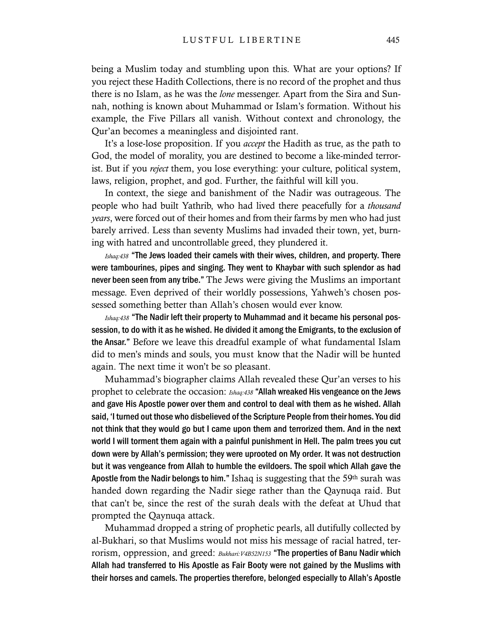being a Muslim today and stumbling upon this. What are your options? If you reject these Hadith Collections, there is no record of the prophet and thus there is no Islam, as he was the *lone* messenger. Apart from the Sira and Sunnah, nothing is known about Muhammad or Islam's formation. Without his example, the Five Pillars all vanish. Without context and chronology, the Qur'an becomes a meaningless and disjointed rant.

It's a lose-lose proposition. If you *accept* the Hadith as true, as the path to God, the model of morality, you are destined to become a like-minded terrorist. But if you *reject* them, you lose everything: your culture, political system, laws, religion, prophet, and god. Further, the faithful will kill you.

In context, the siege and banishment of the Nadir was outrageous. The people who had built Yathrib, who had lived there peacefully for a *thousand years*, were forced out of their homes and from their farms by men who had just barely arrived. Less than seventy Muslims had invaded their town, yet, burning with hatred and uncontrollable greed, they plundered it.

*Ishaq:438* "The Jews loaded their camels with their wives, children, and property. There were tambourines, pipes and singing. They went to Khaybar with such splendor as had never been seen from any tribe." The Jews were giving the Muslims an important message. Even deprived of their worldly possessions, Yahweh's chosen possessed something better than Allah's chosen would ever know.

*Ishaq:438* "The Nadir left their property to Muhammad and it became his personal possession, to do with it as he wished. He divided it among the Emigrants, to the exclusion of the Ansar." Before we leave this dreadful example of what fundamental Islam did to men's minds and souls, you must know that the Nadir will be hunted again. The next time it won't be so pleasant.

Muhammad's biographer claims Allah revealed these Qur'an verses to his prophet to celebrate the occasion: *Ishaq:438* "Allah wreaked His vengeance on the Jews and gave His Apostle power over them and control to deal with them as he wished. Allah said, 'I turned out those who disbelieved of the Scripture People from their homes. You did not think that they would go but I came upon them and terrorized them. And in the next world I will torment them again with a painful punishment in Hell. The palm trees you cut down were by Allah's permission; they were uprooted on My order. It was not destruction but it was vengeance from Allah to humble the evildoers. The spoil which Allah gave the Apostle from the Nadir belongs to him." Ishaq is suggesting that the 59<sup>th</sup> surah was handed down regarding the Nadir siege rather than the Qaynuqa raid. But that can't be, since the rest of the surah deals with the defeat at Uhud that prompted the Qaynuqa attack.

Muhammad dropped a string of prophetic pearls, all dutifully collected by al-Bukhari, so that Muslims would not miss his message of racial hatred, terrorism, oppression, and greed: *Bukhari:V4B52N153* "The properties of Banu Nadir which Allah had transferred to His Apostle as Fair Booty were not gained by the Muslims with their horses and camels. The properties therefore, belonged especially to Allah's Apostle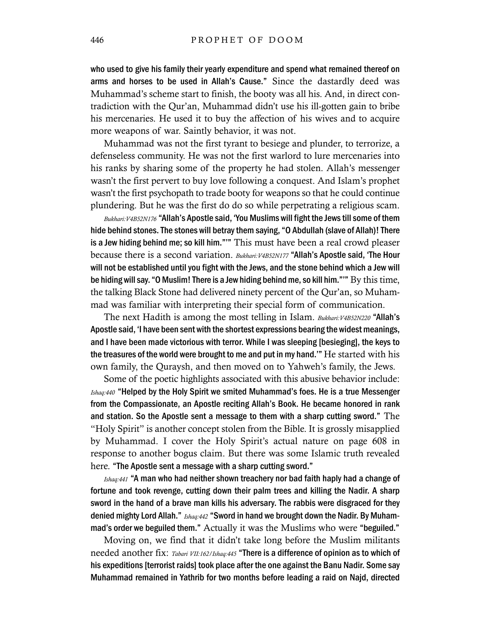who used to give his family their yearly expenditure and spend what remained thereof on arms and horses to be used in Allah's Cause." Since the dastardly deed was Muhammad's scheme start to finish, the booty was all his. And, in direct contradiction with the Qur'an, Muhammad didn't use his ill-gotten gain to bribe his mercenaries. He used it to buy the affection of his wives and to acquire more weapons of war. Saintly behavior, it was not.

Muhammad was not the first tyrant to besiege and plunder, to terrorize, a defenseless community. He was not the first warlord to lure mercenaries into his ranks by sharing some of the property he had stolen. Allah's messenger wasn't the first pervert to buy love following a conquest. And Islam's prophet wasn't the first psychopath to trade booty for weapons so that he could continue plundering. But he was the first do do so while perpetrating a religious scam.

*Bukhari:V4B52N176* "Allah's Apostle said, 'You Muslims will fight the Jews till some of them hide behind stones. The stones will betray them saying, "O Abdullah (slave of Allah)! There is a Jew hiding behind me; so kill him."'" This must have been a real crowd pleaser because there is a second variation. *Bukhari:V4B52N177* "Allah's Apostle said, 'The Hour will not be established until you fight with the Jews, and the stone behind which a Jew will be hiding will say. "O Muslim! There is a Jew hiding behind me, so kill him.""" By this time, the talking Black Stone had delivered ninety percent of the Qur'an, so Muhammad was familiar with interpreting their special form of communication.

The next Hadith is among the most telling in Islam. *Bukhari:V4B52N220* "Allah's Apostle said, 'I have been sent with the shortest expressions bearing the widest meanings, and I have been made victorious with terror. While I was sleeping [besieging], the keys to the treasures of the world were brought to me and put in my hand.'" He started with his own family, the Quraysh, and then moved on to Yahweh's family, the Jews.

Some of the poetic highlights associated with this abusive behavior include: *Ishaq:440* "Helped by the Holy Spirit we smited Muhammad's foes. He is a true Messenger from the Compassionate, an Apostle reciting Allah's Book. He became honored in rank and station. So the Apostle sent a message to them with a sharp cutting sword." The "Holy Spirit" is another concept stolen from the Bible. It is grossly misapplied by Muhammad. I cover the Holy Spirit's actual nature on page 608 in response to another bogus claim. But there was some Islamic truth revealed here. "The Apostle sent a message with a sharp cutting sword."

*Ishaq:441* "A man who had neither shown treachery nor bad faith haply had a change of fortune and took revenge, cutting down their palm trees and killing the Nadir. A sharp sword in the hand of a brave man kills his adversary. The rabbis were disgraced for they denied mighty Lord Allah." *Ishaq:442* "Sword in hand we brought down the Nadir. By Muhammad's order we beguiled them." Actually it was the Muslims who were "beguiled."

Moving on, we find that it didn't take long before the Muslim militants needed another fix: *Tabari VII:162/Ishaq:445* "There is a difference of opinion as to which of his expeditions [terrorist raids] took place after the one against the Banu Nadir. Some say Muhammad remained in Yathrib for two months before leading a raid on Najd, directed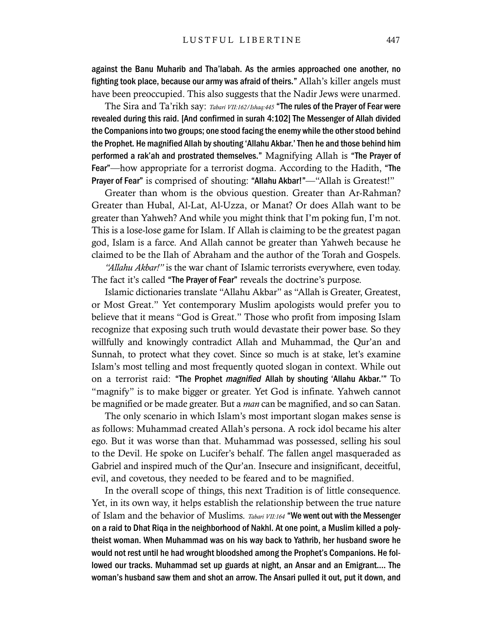against the Banu Muharib and Tha'labah. As the armies approached one another, no fighting took place, because our army was afraid of theirs." Allah's killer angels must have been preoccupied. This also suggests that the Nadir Jews were unarmed.

The Sira and Ta'rikh say: *Tabari VII:162/Ishaq:445* "The rules of the Prayer of Fear were revealed during this raid. [And confirmed in surah 4:102] The Messenger of Allah divided the Companions into two groups; one stood facing the enemy while the other stood behind the Prophet. He magnified Allah by shouting 'Allahu Akbar.' Then he and those behind him performed a rak'ah and prostrated themselves." Magnifying Allah is "The Prayer of Fear"—how appropriate for a terrorist dogma. According to the Hadith, "The Prayer of Fear" is comprised of shouting: "Allahu Akbar!"—"Allah is Greatest!"

Greater than whom is the obvious question. Greater than Ar-Rahman? Greater than Hubal, Al-Lat, Al-Uzza, or Manat? Or does Allah want to be greater than Yahweh? And while you might think that I'm poking fun, I'm not. This is a lose-lose game for Islam. If Allah is claiming to be the greatest pagan god, Islam is a farce. And Allah cannot be greater than Yahweh because he claimed to be the Ilah of Abraham and the author of the Torah and Gospels.

*"Allahu Akbar!"* is the war chant of Islamic terrorists everywhere, even today. The fact it's called "The Prayer of Fear" reveals the doctrine's purpose.

Islamic dictionaries translate "Allahu Akbar" as "Allah is Greater, Greatest, or Most Great." Yet contemporary Muslim apologists would prefer you to believe that it means "God is Great." Those who profit from imposing Islam recognize that exposing such truth would devastate their power base. So they willfully and knowingly contradict Allah and Muhammad, the Qur'an and Sunnah, to protect what they covet. Since so much is at stake, let's examine Islam's most telling and most frequently quoted slogan in context. While out on a terrorist raid: "The Prophet magnified Allah by shouting 'Allahu Akbar.'" To "magnify" is to make bigger or greater. Yet God is infinate. Yahweh cannot be magnified or be made greater. But a *man* can be magnified, and so can Satan.

The only scenario in which Islam's most important slogan makes sense is as follows: Muhammad created Allah's persona. A rock idol became his alter ego. But it was worse than that. Muhammad was possessed, selling his soul to the Devil. He spoke on Lucifer's behalf. The fallen angel masqueraded as Gabriel and inspired much of the Qur'an. Insecure and insignificant, deceitful, evil, and covetous, they needed to be feared and to be magnified.

In the overall scope of things, this next Tradition is of little consequence. Yet, in its own way, it helps establish the relationship between the true nature of Islam and the behavior of Muslims. *Tabari VII:164* "We went out with the Messenger on a raid to Dhat Riqa in the neighborhood of Nakhl. At one point, a Muslim killed a polytheist woman. When Muhammad was on his way back to Yathrib, her husband swore he would not rest until he had wrought bloodshed among the Prophet's Companions. He followed our tracks. Muhammad set up guards at night, an Ansar and an Emigrant.… The woman's husband saw them and shot an arrow. The Ansari pulled it out, put it down, and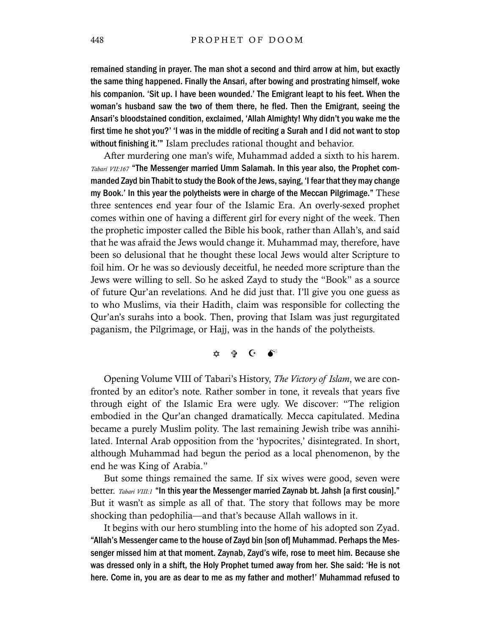remained standing in prayer. The man shot a second and third arrow at him, but exactly the same thing happened. Finally the Ansari, after bowing and prostrating himself, woke his companion. 'Sit up. I have been wounded.' The Emigrant leapt to his feet. When the woman's husband saw the two of them there, he fled. Then the Emigrant, seeing the Ansari's bloodstained condition, exclaimed, 'Allah Almighty! Why didn't you wake me the first time he shot you?' 'I was in the middle of reciting a Surah and I did not want to stop without finishing it.'" Islam precludes rational thought and behavior.

After murdering one man's wife, Muhammad added a sixth to his harem. *Tabari VII:167* "The Messenger married Umm Salamah. In this year also, the Prophet commanded Zayd bin Thabit to study the Book of the Jews, saying, 'I fear that they may change my Book.' In this year the polytheists were in charge of the Meccan Pilgrimage." These three sentences end year four of the Islamic Era. An overly-sexed prophet comes within one of having a different girl for every night of the week. Then the prophetic imposter called the Bible his book, rather than Allah's, and said that he was afraid the Jews would change it. Muhammad may, therefore, have been so delusional that he thought these local Jews would alter Scripture to foil him. Or he was so deviously deceitful, he needed more scripture than the Jews were willing to sell. So he asked Zayd to study the "Book" as a source of future Qur'an revelations. And he did just that. I'll give you one guess as to who Muslims, via their Hadith, claim was responsible for collecting the Qur'an's surahs into a book. Then, proving that Islam was just regurgitated paganism, the Pilgrimage, or Hajj, was in the hands of the polytheists.

**☆ ☆ ☆ ☆** 

Opening Volume VIII of Tabari's History, *The Victory of Islam*, we are confronted by an editor's note. Rather somber in tone, it reveals that years five through eight of the Islamic Era were ugly. We discover: "The religion embodied in the Qur'an changed dramatically. Mecca capitulated. Medina became a purely Muslim polity. The last remaining Jewish tribe was annihilated. Internal Arab opposition from the 'hypocrites,' disintegrated. In short, although Muhammad had begun the period as a local phenomenon, by the end he was King of Arabia."

But some things remained the same. If six wives were good, seven were better. *Tabari VIII:1* "In this year the Messenger married Zaynab bt. Jahsh [a first cousin]." But it wasn't as simple as all of that. The story that follows may be more shocking than pedophilia—and that's because Allah wallows in it.

It begins with our hero stumbling into the home of his adopted son Zyad. "Allah's Messenger came to the house of Zayd bin [son of] Muhammad. Perhaps the Messenger missed him at that moment. Zaynab, Zayd's wife, rose to meet him. Because she was dressed only in a shift, the Holy Prophet turned away from her. She said: 'He is not here. Come in, you are as dear to me as my father and mother!' Muhammad refused to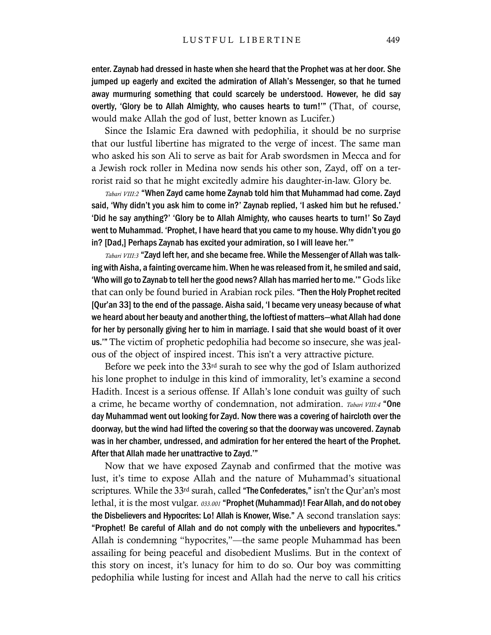enter. Zaynab had dressed in haste when she heard that the Prophet was at her door. She jumped up eagerly and excited the admiration of Allah's Messenger, so that he turned away murmuring something that could scarcely be understood. However, he did say overtly, 'Glory be to Allah Almighty, who causes hearts to turn!'" (That, of course, would make Allah the god of lust, better known as Lucifer.)

Since the Islamic Era dawned with pedophilia, it should be no surprise that our lustful libertine has migrated to the verge of incest. The same man who asked his son Ali to serve as bait for Arab swordsmen in Mecca and for a Jewish rock roller in Medina now sends his other son, Zayd, off on a terrorist raid so that he might excitedly admire his daughter-in-law. Glory be.

*Tabari VIII:2* "When Zayd came home Zaynab told him that Muhammad had come. Zayd said, 'Why didn't you ask him to come in?' Zaynab replied, 'I asked him but he refused.' 'Did he say anything?' 'Glory be to Allah Almighty, who causes hearts to turn!' So Zayd went to Muhammad. 'Prophet, I have heard that you came to my house. Why didn't you go in? [Dad,] Perhaps Zaynab has excited your admiration, so I will leave her.'"

*Tabari VIII:3* "Zayd left her, and she became free. While the Messenger of Allah was talking with Aisha, a fainting overcame him. When he was released from it, he smiled and said, 'Who will go to Zaynab to tell her the good news? Allah has married her to me.'" Gods like that can only be found buried in Arabian rock piles. "Then the Holy Prophet recited [Qur'an 33] to the end of the passage. Aisha said, 'I became very uneasy because of what we heard about her beauty and another thing, the loftiest of matters—what Allah had done for her by personally giving her to him in marriage. I said that she would boast of it over us.'" The victim of prophetic pedophilia had become so insecure, she was jealous of the object of inspired incest. This isn't a very attractive picture.

Before we peek into the 33rd surah to see why the god of Islam authorized his lone prophet to indulge in this kind of immorality, let's examine a second Hadith. Incest is a serious offense. If Allah's lone conduit was guilty of such a crime, he became worthy of condemnation, not admiration. *Tabari VIII:4* "One day Muhammad went out looking for Zayd. Now there was a covering of haircloth over the doorway, but the wind had lifted the covering so that the doorway was uncovered. Zaynab was in her chamber, undressed, and admiration for her entered the heart of the Prophet. After that Allah made her unattractive to Zayd.'"

Now that we have exposed Zaynab and confirmed that the motive was lust, it's time to expose Allah and the nature of Muhammad's situational scriptures. While the 33<sup>rd</sup> surah, called "The Confederates," isn't the Qur'an's most lethal, it is the most vulgar. *033.001* "Prophet (Muhammad)! Fear Allah, and do not obey the Disbelievers and Hypocrites: Lo! Allah is Knower, Wise." A second translation says: "Prophet! Be careful of Allah and do not comply with the unbelievers and hypocrites." Allah is condemning "hypocrites,"—the same people Muhammad has been assailing for being peaceful and disobedient Muslims. But in the context of this story on incest, it's lunacy for him to do so. Our boy was committing pedophilia while lusting for incest and Allah had the nerve to call his critics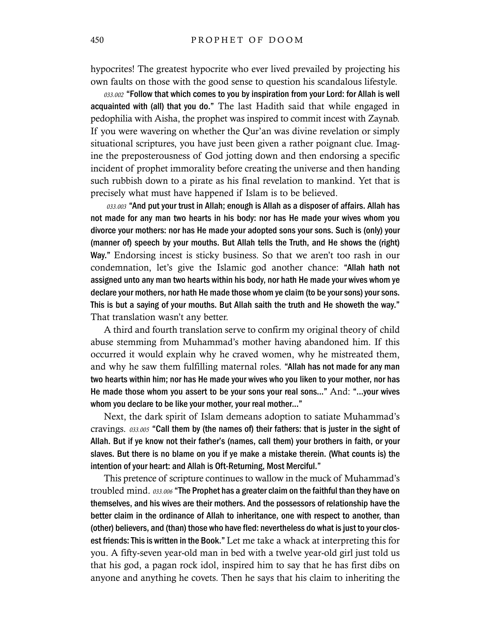hypocrites! The greatest hypocrite who ever lived prevailed by projecting his own faults on those with the good sense to question his scandalous lifestyle.

*033.002* "Follow that which comes to you by inspiration from your Lord: for Allah is well acquainted with (all) that you do." The last Hadith said that while engaged in pedophilia with Aisha, the prophet was inspired to commit incest with Zaynab. If you were wavering on whether the Qur'an was divine revelation or simply situational scriptures, you have just been given a rather poignant clue. Imagine the preposterousness of God jotting down and then endorsing a specific incident of prophet immorality before creating the universe and then handing such rubbish down to a pirate as his final revelation to mankind. Yet that is precisely what must have happened if Islam is to be believed.

*033.003* "And put your trust in Allah; enough is Allah as a disposer of affairs. Allah has not made for any man two hearts in his body: nor has He made your wives whom you divorce your mothers: nor has He made your adopted sons your sons. Such is (only) your (manner of) speech by your mouths. But Allah tells the Truth, and He shows the (right) Way." Endorsing incest is sticky business. So that we aren't too rash in our condemnation, let's give the Islamic god another chance: "Allah hath not assigned unto any man two hearts within his body, nor hath He made your wives whom ye declare your mothers, nor hath He made those whom ye claim (to be your sons) your sons. This is but a saying of your mouths. But Allah saith the truth and He showeth the way." That translation wasn't any better.

A third and fourth translation serve to confirm my original theory of child abuse stemming from Muhammad's mother having abandoned him. If this occurred it would explain why he craved women, why he mistreated them, and why he saw them fulfilling maternal roles. "Allah has not made for any man two hearts within him; nor has He made your wives who you liken to your mother, nor has He made those whom you assert to be your sons your real sons..." And: "...your wives whom you declare to be like your mother, your real mother..."

Next, the dark spirit of Islam demeans adoption to satiate Muhammad's cravings. *033.005* "Call them by (the names of) their fathers: that is juster in the sight of Allah. But if ye know not their father's (names, call them) your brothers in faith, or your slaves. But there is no blame on you if ye make a mistake therein. (What counts is) the intention of your heart: and Allah is Oft-Returning, Most Merciful."

This pretence of scripture continues to wallow in the muck of Muhammad's troubled mind. *033.006* "The Prophet has a greater claim on the faithful than they have on themselves, and his wives are their mothers. And the possessors of relationship have the better claim in the ordinance of Allah to inheritance, one with respect to another, than (other) believers, and (than) those who have fled: nevertheless do what is just to your closest friends: This is written in the Book." Let me take a whack at interpreting this for you. A fifty-seven year-old man in bed with a twelve year-old girl just told us that his god, a pagan rock idol, inspired him to say that he has first dibs on anyone and anything he covets. Then he says that his claim to inheriting the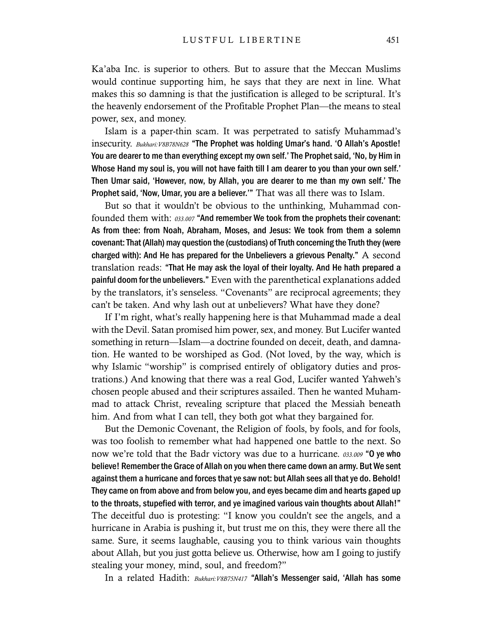Ka'aba Inc. is superior to others. But to assure that the Meccan Muslims would continue supporting him, he says that they are next in line. What makes this so damning is that the justification is alleged to be scriptural. It's the heavenly endorsement of the Profitable Prophet Plan—the means to steal power, sex, and money.

Islam is a paper-thin scam. It was perpetrated to satisfy Muhammad's insecurity. *Bukhari:V8B78N628* "The Prophet was holding Umar's hand. 'O Allah's Apostle! You are dearer to me than everything except my own self.' The Prophet said, 'No, by Him in Whose Hand my soul is, you will not have faith till I am dearer to you than your own self.' Then Umar said, 'However, now, by Allah, you are dearer to me than my own self.' The Prophet said, 'Now, Umar, you are a believer.'" That was all there was to Islam.

But so that it wouldn't be obvious to the unthinking, Muhammad confounded them with: *033.007* "And remember We took from the prophets their covenant: As from thee: from Noah, Abraham, Moses, and Jesus: We took from them a solemn covenant: That (Allah) may question the (custodians) of Truth concerning the Truth they (were charged with): And He has prepared for the Unbelievers a grievous Penalty." A second translation reads: "That He may ask the loyal of their loyalty. And He hath prepared a painful doom for the unbelievers." Even with the parenthetical explanations added by the translators, it's senseless. "Covenants" are reciprocal agreements; they can't be taken. And why lash out at unbelievers? What have they done?

If I'm right, what's really happening here is that Muhammad made a deal with the Devil. Satan promised him power, sex, and money. But Lucifer wanted something in return—Islam—a doctrine founded on deceit, death, and damnation. He wanted to be worshiped as God. (Not loved, by the way, which is why Islamic "worship" is comprised entirely of obligatory duties and prostrations.) And knowing that there was a real God, Lucifer wanted Yahweh's chosen people abused and their scriptures assailed. Then he wanted Muhammad to attack Christ, revealing scripture that placed the Messiah beneath him. And from what I can tell, they both got what they bargained for.

But the Demonic Covenant, the Religion of fools, by fools, and for fools, was too foolish to remember what had happened one battle to the next. So now we're told that the Badr victory was due to a hurricane. *033.009* "O ye who believe! Remember the Grace of Allah on you when there came down an army. But We sent against them a hurricane and forces that ye saw not: but Allah sees all that ye do. Behold! They came on from above and from below you, and eyes became dim and hearts gaped up to the throats, stupefied with terror, and ye imagined various vain thoughts about Allah!" The deceitful duo is protesting: "I know you couldn't see the angels, and a hurricane in Arabia is pushing it, but trust me on this, they were there all the same. Sure, it seems laughable, causing you to think various vain thoughts about Allah, but you just gotta believe us. Otherwise, how am I going to justify stealing your money, mind, soul, and freedom?"

In a related Hadith: *Bukhari:V8B75N417* "Allah's Messenger said, 'Allah has some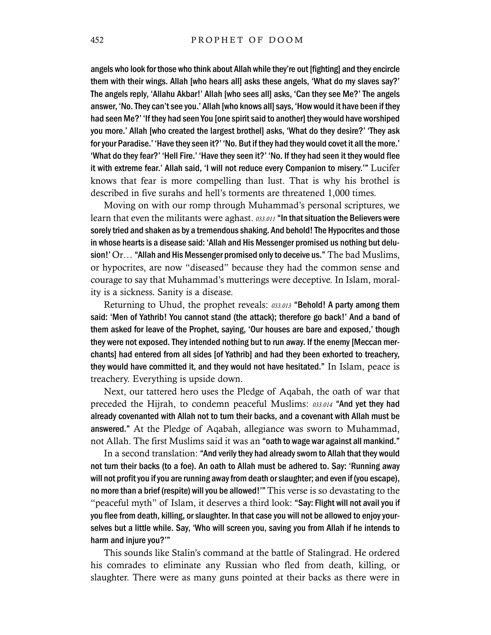angels who look for those who think about Allah while they're out [fighting] and they encircle them with their wings. Allah [who hears all] asks these angels, 'What do my slaves say?' The angels reply, 'Allahu Akbar!' Allah [who sees all] asks, 'Can they see Me?' The angels answer, 'No. They can't see you.' Allah [who knows all] says, 'How would it have been if they had seen Me?' 'If they had seen You [one spirit said to another] they would have worshiped you more.' Allah [who created the largest brothel] asks, 'What do they desire?' 'They ask for your Paradise.' 'Have they seen it?' 'No. But if they had they would covet it all the more.' 'What do they fear?' 'Hell Fire.' 'Have they seen it?' 'No. If they had seen it they would flee it with extreme fear.' Allah said, 'I will not reduce every Companion to misery.'" Lucifer knows that fear is more compelling than lust. That is why his brothel is described in five surahs and hell's torments are threatened 1,000 times.

Moving on with our romp through Muhammad's personal scriptures, we learn that even the militants were aghast. *033.011* "In that situation the Believers were sorely tried and shaken as by a tremendous shaking. And behold! The Hypocrites and those in whose hearts is a disease said: 'Allah and His Messenger promised us nothing but delusion!' Or… "Allah and His Messenger promised only to deceive us." The bad Muslims, or hypocrites, are now "diseased" because they had the common sense and courage to say that Muhammad's mutterings were deceptive. In Islam, morality is a sickness. Sanity is a disease.

Returning to Uhud, the prophet reveals: *033.013* "Behold! A party among them said: 'Men of Yathrib! You cannot stand (the attack); therefore go back!' And a band of them asked for leave of the Prophet, saying, 'Our houses are bare and exposed,' though they were not exposed. They intended nothing but to run away. If the enemy [Meccan merchants] had entered from all sides [of Yathrib] and had they been exhorted to treachery, they would have committed it, and they would not have hesitated." In Islam, peace is treachery. Everything is upside down.

Next, our tattered hero uses the Pledge of Aqabah, the oath of war that preceded the Hijrah, to condemn peaceful Muslims: *033.014* "And yet they had already covenanted with Allah not to turn their backs, and a covenant with Allah must be answered." At the Pledge of Aqabah, allegiance was sworn to Muhammad, not Allah. The first Muslims said it was an "oath to wage war against all mankind."

In a second translation: "And verily they had already sworn to Allah that they would not turn their backs (to a foe). An oath to Allah must be adhered to. Say: 'Running away will not profit you if you are running away from death or slaughter; and even if (you escape), no more than a brief (respite) will you be allowed!'" This verse is so devastating to the "peaceful myth" of Islam, it deserves a third look: "Say: Flight will not avail you if you flee from death, killing, or slaughter. In that case you will not be allowed to enjoy yourselves but a little while. Say, 'Who will screen you, saving you from Allah if he intends to harm and injure you?'"

This sounds like Stalin's command at the battle of Stalingrad. He ordered his comrades to eliminate any Russian who fled from death, killing, or slaughter. There were as many guns pointed at their backs as there were in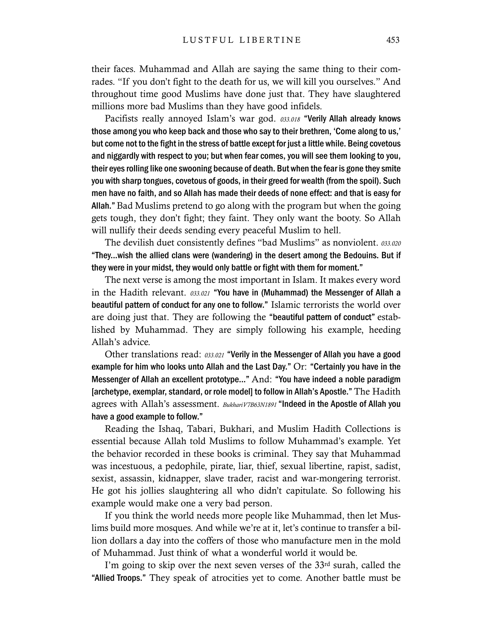their faces. Muhammad and Allah are saying the same thing to their comrades. "If you don't fight to the death for us, we will kill you ourselves." And throughout time good Muslims have done just that. They have slaughtered millions more bad Muslims than they have good infidels.

Pacifists really annoyed Islam's war god. *033.018* "Verily Allah already knows those among you who keep back and those who say to their brethren, 'Come along to us,' but come not to the fight in the stress of battle except for just a little while. Being covetous and niggardly with respect to you; but when fear comes, you will see them looking to you, their eyes rolling like one swooning because of death. But when the fear is gone they smite you with sharp tongues, covetous of goods, in their greed for wealth (from the spoil). Such men have no faith, and so Allah has made their deeds of none effect: and that is easy for Allah." Bad Muslims pretend to go along with the program but when the going gets tough, they don't fight; they faint. They only want the booty. So Allah will nullify their deeds sending every peaceful Muslim to hell.

The devilish duet consistently defines "bad Muslims" as nonviolent. *033.020* "They...wish the allied clans were (wandering) in the desert among the Bedouins. But if they were in your midst, they would only battle or fight with them for moment."

The next verse is among the most important in Islam. It makes every word in the Hadith relevant. *033.021* "You have in (Muhammad) the Messenger of Allah a beautiful pattern of conduct for any one to follow." Islamic terrorists the world over are doing just that. They are following the "beautiful pattern of conduct" established by Muhammad. They are simply following his example, heeding Allah's advice.

Other translations read: *033.021* "Verily in the Messenger of Allah you have a good example for him who looks unto Allah and the Last Day." Or: "Certainly you have in the Messenger of Allah an excellent prototype..." And: "You have indeed a noble paradigm [archetype, exemplar, standard, or role model] to follow in Allah's Apostle." The Hadith agrees with Allah's assessment. *BukhariV7B63N1891* "Indeed in the Apostle of Allah you have a good example to follow."

Reading the Ishaq, Tabari, Bukhari, and Muslim Hadith Collections is essential because Allah told Muslims to follow Muhammad's example. Yet the behavior recorded in these books is criminal. They say that Muhammad was incestuous, a pedophile, pirate, liar, thief, sexual libertine, rapist, sadist, sexist, assassin, kidnapper, slave trader, racist and war-mongering terrorist. He got his jollies slaughtering all who didn't capitulate. So following his example would make one a very bad person.

If you think the world needs more people like Muhammad, then let Muslims build more mosques. And while we're at it, let's continue to transfer a billion dollars a day into the coffers of those who manufacture men in the mold of Muhammad. Just think of what a wonderful world it would be.

I'm going to skip over the next seven verses of the  $33<sup>rd</sup>$  surah, called the "Allied Troops." They speak of atrocities yet to come. Another battle must be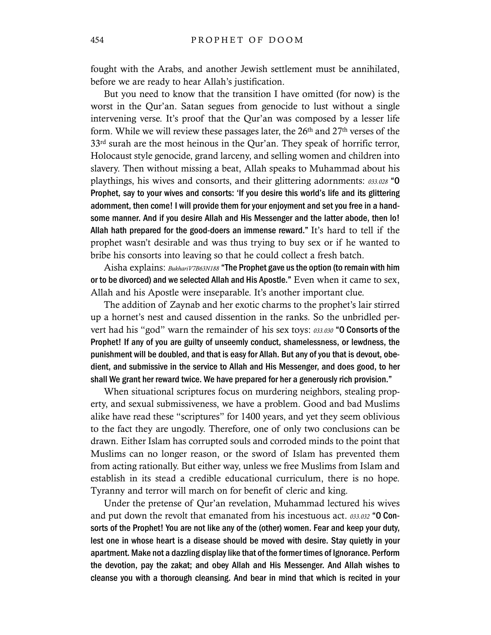fought with the Arabs, and another Jewish settlement must be annihilated, before we are ready to hear Allah's justification.

But you need to know that the transition I have omitted (for now) is the worst in the Qur'an. Satan segues from genocide to lust without a single intervening verse. It's proof that the Qur'an was composed by a lesser life form. While we will review these passages later, the 26th and 27th verses of the 33<sup>rd</sup> surah are the most heinous in the Qur'an. They speak of horrific terror, Holocaust style genocide, grand larceny, and selling women and children into slavery. Then without missing a beat, Allah speaks to Muhammad about his playthings, his wives and consorts, and their glittering adornments: *033.028* "O Prophet, say to your wives and consorts: 'If you desire this world's life and its glittering adornment, then come! I will provide them for your enjoyment and set you free in a handsome manner. And if you desire Allah and His Messenger and the latter abode, then lo! Allah hath prepared for the good-doers an immense reward." It's hard to tell if the prophet wasn't desirable and was thus trying to buy sex or if he wanted to bribe his consorts into leaving so that he could collect a fresh batch.

Aisha explains: *BukhariV7B63N188* "The Prophet gave us the option (to remain with him or to be divorced) and we selected Allah and His Apostle." Even when it came to sex, Allah and his Apostle were inseparable. It's another important clue.

The addition of Zaynab and her exotic charms to the prophet's lair stirred up a hornet's nest and caused dissention in the ranks. So the unbridled pervert had his "god" warn the remainder of his sex toys: *033.030* "O Consorts of the Prophet! If any of you are guilty of unseemly conduct, shamelessness, or lewdness, the punishment will be doubled, and that is easy for Allah. But any of you that is devout, obedient, and submissive in the service to Allah and His Messenger, and does good, to her shall We grant her reward twice. We have prepared for her a generously rich provision."

When situational scriptures focus on murdering neighbors, stealing property, and sexual submissiveness, we have a problem. Good and bad Muslims alike have read these "scriptures" for 1400 years, and yet they seem oblivious to the fact they are ungodly. Therefore, one of only two conclusions can be drawn. Either Islam has corrupted souls and corroded minds to the point that Muslims can no longer reason, or the sword of Islam has prevented them from acting rationally. But either way, unless we free Muslims from Islam and establish in its stead a credible educational curriculum, there is no hope. Tyranny and terror will march on for benefit of cleric and king.

Under the pretense of Qur'an revelation, Muhammad lectured his wives and put down the revolt that emanated from his incestuous act. *033.032* "O Consorts of the Prophet! You are not like any of the (other) women. Fear and keep your duty, lest one in whose heart is a disease should be moved with desire. Stay quietly in your apartment. Make not a dazzling display like that of the former times of Ignorance. Perform the devotion, pay the zakat; and obey Allah and His Messenger. And Allah wishes to cleanse you with a thorough cleansing. And bear in mind that which is recited in your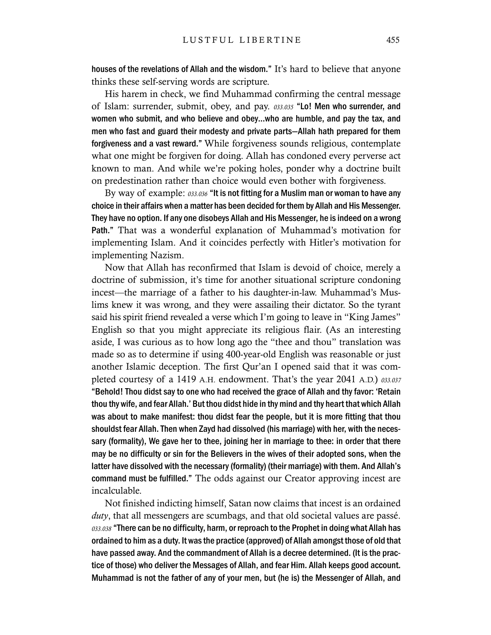houses of the revelations of Allah and the wisdom." It's hard to believe that anyone thinks these self-serving words are scripture.

His harem in check, we find Muhammad confirming the central message of Islam: surrender, submit, obey, and pay. *033.035* "Lo! Men who surrender, and women who submit, and who believe and obey…who are humble, and pay the tax, and men who fast and guard their modesty and private parts—Allah hath prepared for them forgiveness and a vast reward." While forgiveness sounds religious, contemplate what one might be forgiven for doing. Allah has condoned every perverse act known to man. And while we're poking holes, ponder why a doctrine built on predestination rather than choice would even bother with forgiveness.

By way of example: *033.036* "It is not fitting for a Muslim man or woman to have any choice in their affairs when a matter has been decided for them by Allah and His Messenger. They have no option. If any one disobeys Allah and His Messenger, he is indeed on a wrong Path." That was a wonderful explanation of Muhammad's motivation for implementing Islam. And it coincides perfectly with Hitler's motivation for implementing Nazism.

Now that Allah has reconfirmed that Islam is devoid of choice, merely a doctrine of submission, it's time for another situational scripture condoning incest—the marriage of a father to his daughter-in-law. Muhammad's Muslims knew it was wrong, and they were assailing their dictator. So the tyrant said his spirit friend revealed a verse which I'm going to leave in "King James" English so that you might appreciate its religious flair. (As an interesting aside, I was curious as to how long ago the "thee and thou" translation was made so as to determine if using 400-year-old English was reasonable or just another Islamic deception. The first Qur'an I opened said that it was completed courtesy of a 1419 A.H. endowment. That's the year 2041 A.D.) *033.037* "Behold! Thou didst say to one who had received the grace of Allah and thy favor: 'Retain thou thy wife, and fear Allah.' But thou didst hide in thy mind and thy heart that which Allah was about to make manifest: thou didst fear the people, but it is more fitting that thou shouldst fear Allah. Then when Zayd had dissolved (his marriage) with her, with the necessary (formality), We gave her to thee, joining her in marriage to thee: in order that there may be no difficulty or sin for the Believers in the wives of their adopted sons, when the latter have dissolved with the necessary (formality) (their marriage) with them. And Allah's command must be fulfilled." The odds against our Creator approving incest are incalculable.

Not finished indicting himself, Satan now claims that incest is an ordained *duty*, that all messengers are scumbags, and that old societal values are passé. *033.038* "There can be no difficulty, harm, or reproach to the Prophet in doing what Allah has ordained to him as a duty. It was the practice (approved) of Allah amongst those of old that have passed away. And the commandment of Allah is a decree determined. (It is the practice of those) who deliver the Messages of Allah, and fear Him. Allah keeps good account. Muhammad is not the father of any of your men, but (he is) the Messenger of Allah, and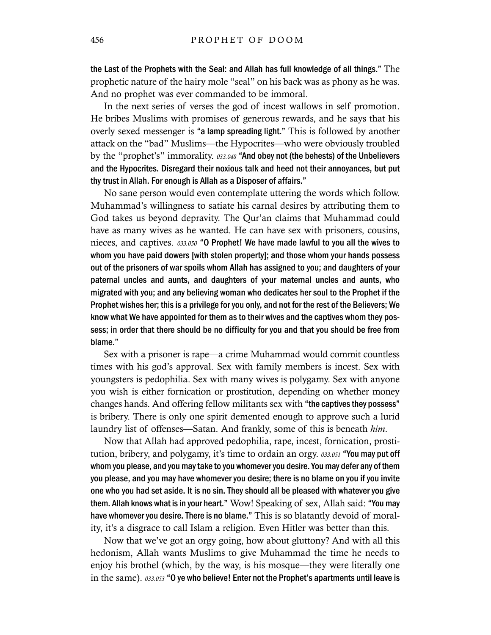the Last of the Prophets with the Seal: and Allah has full knowledge of all things." The prophetic nature of the hairy mole "seal" on his back was as phony as he was. And no prophet was ever commanded to be immoral.

In the next series of verses the god of incest wallows in self promotion. He bribes Muslims with promises of generous rewards, and he says that his overly sexed messenger is "a lamp spreading light." This is followed by another attack on the "bad" Muslims—the Hypocrites—who were obviously troubled by the "prophet's" immorality. *033.048* "And obey not (the behests) of the Unbelievers and the Hypocrites. Disregard their noxious talk and heed not their annoyances, but put thy trust in Allah. For enough is Allah as a Disposer of affairs."

No sane person would even contemplate uttering the words which follow. Muhammad's willingness to satiate his carnal desires by attributing them to God takes us beyond depravity. The Qur'an claims that Muhammad could have as many wives as he wanted. He can have sex with prisoners, cousins, nieces, and captives. *033.050* "O Prophet! We have made lawful to you all the wives to whom you have paid dowers [with stolen property]; and those whom your hands possess out of the prisoners of war spoils whom Allah has assigned to you; and daughters of your paternal uncles and aunts, and daughters of your maternal uncles and aunts, who migrated with you; and any believing woman who dedicates her soul to the Prophet if the Prophet wishes her; this is a privilege for you only, and not for the rest of the Believers; We know what We have appointed for them as to their wives and the captives whom they possess; in order that there should be no difficulty for you and that you should be free from blame."

Sex with a prisoner is rape—a crime Muhammad would commit countless times with his god's approval. Sex with family members is incest. Sex with youngsters is pedophilia. Sex with many wives is polygamy. Sex with anyone you wish is either fornication or prostitution, depending on whether money changes hands. And offering fellow militants sex with "the captives they possess" is bribery. There is only one spirit demented enough to approve such a lurid laundry list of offenses—Satan. And frankly, some of this is beneath *him*.

Now that Allah had approved pedophilia, rape, incest, fornication, prostitution, bribery, and polygamy, it's time to ordain an orgy. *033.051* "You may put off whom you please, and you may take to you whomever you desire. You may defer any of them you please, and you may have whomever you desire; there is no blame on you if you invite one who you had set aside. It is no sin. They should all be pleased with whatever you give them. Allah knows what is in your heart." Wow! Speaking of sex, Allah said: "You may have whomever you desire. There is no blame." This is so blatantly devoid of morality, it's a disgrace to call Islam a religion. Even Hitler was better than this.

Now that we've got an orgy going, how about gluttony? And with all this hedonism, Allah wants Muslims to give Muhammad the time he needs to enjoy his brothel (which, by the way, is his mosque—they were literally one in the same). *033.053* "O ye who believe! Enter not the Prophet's apartments until leave is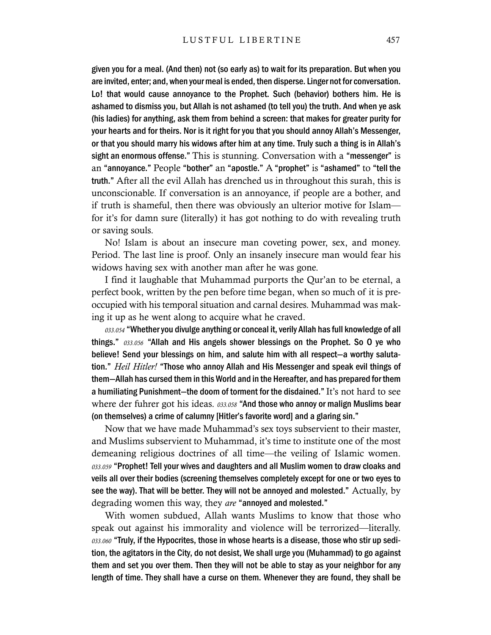given you for a meal. (And then) not (so early as) to wait for its preparation. But when you are invited, enter; and, when your meal is ended, then disperse. Linger not for conversation. Lo! that would cause annoyance to the Prophet. Such (behavior) bothers him. He is ashamed to dismiss you, but Allah is not ashamed (to tell you) the truth. And when ye ask (his ladies) for anything, ask them from behind a screen: that makes for greater purity for your hearts and for theirs. Nor is it right for you that you should annoy Allah's Messenger, or that you should marry his widows after him at any time. Truly such a thing is in Allah's sight an enormous offense." This is stunning. Conversation with a "messenger" is an "annoyance." People "bother" an "apostle." A "prophet" is "ashamed" to "tell the truth." After all the evil Allah has drenched us in throughout this surah, this is unconscionable. If conversation is an annoyance, if people are a bother, and if truth is shameful, then there was obviously an ulterior motive for Islam for it's for damn sure (literally) it has got nothing to do with revealing truth or saving souls.

No! Islam is about an insecure man coveting power, sex, and money. Period. The last line is proof. Only an insanely insecure man would fear his widows having sex with another man after he was gone.

I find it laughable that Muhammad purports the Qur'an to be eternal, a perfect book, written by the pen before time began, when so much of it is preoccupied with his temporal situation and carnal desires. Muhammad was making it up as he went along to acquire what he craved.

*033.054* "Whether you divulge anything or conceal it, verily Allah has full knowledge of all things." *033.056* "Allah and His angels shower blessings on the Prophet. So O ye who believe! Send your blessings on him, and salute him with all respect—a worthy salutation." *Heil Hitler!* "Those who annoy Allah and His Messenger and speak evil things of them—Allah has cursed them in this World and in the Hereafter, and has prepared for them a humiliating Punishment—the doom of torment for the disdained." It's not hard to see where der fuhrer got his ideas. *033.058* "And those who annoy or malign Muslims bear (on themselves) a crime of calumny [Hitler's favorite word] and a glaring sin."

Now that we have made Muhammad's sex toys subservient to their master, and Muslims subservient to Muhammad, it's time to institute one of the most demeaning religious doctrines of all time—the veiling of Islamic women. *033.059* "Prophet! Tell your wives and daughters and all Muslim women to draw cloaks and veils all over their bodies (screening themselves completely except for one or two eyes to see the way). That will be better. They will not be annoyed and molested." Actually, by degrading women this way, they *are* "annoyed and molested."

With women subdued, Allah wants Muslims to know that those who speak out against his immorality and violence will be terrorized—literally. *033.060* "Truly, if the Hypocrites, those in whose hearts is a disease, those who stir up sedition, the agitators in the City, do not desist, We shall urge you (Muhammad) to go against them and set you over them. Then they will not be able to stay as your neighbor for any length of time. They shall have a curse on them. Whenever they are found, they shall be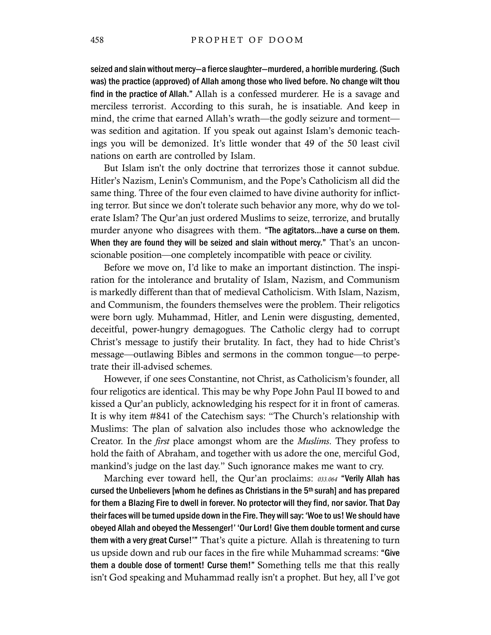seized and slain without mercy—a fierce slaughter—murdered, a horrible murdering. (Such was) the practice (approved) of Allah among those who lived before. No change wilt thou find in the practice of Allah." Allah is a confessed murderer. He is a savage and merciless terrorist. According to this surah, he is insatiable. And keep in mind, the crime that earned Allah's wrath—the godly seizure and torment was sedition and agitation. If you speak out against Islam's demonic teachings you will be demonized. It's little wonder that 49 of the 50 least civil nations on earth are controlled by Islam.

But Islam isn't the only doctrine that terrorizes those it cannot subdue. Hitler's Nazism, Lenin's Communism, and the Pope's Catholicism all did the same thing. Three of the four even claimed to have divine authority for inflicting terror. But since we don't tolerate such behavior any more, why do we tolerate Islam? The Qur'an just ordered Muslims to seize, terrorize, and brutally murder anyone who disagrees with them. "The agitators…have a curse on them. When they are found they will be seized and slain without mercy." That's an unconscionable position—one completely incompatible with peace or civility.

Before we move on, I'd like to make an important distinction. The inspiration for the intolerance and brutality of Islam, Nazism, and Communism is markedly different than that of medieval Catholicism. With Islam, Nazism, and Communism, the founders themselves were the problem. Their religotics were born ugly. Muhammad, Hitler, and Lenin were disgusting, demented, deceitful, power-hungry demagogues. The Catholic clergy had to corrupt Christ's message to justify their brutality. In fact, they had to hide Christ's message—outlawing Bibles and sermons in the common tongue—to perpetrate their ill-advised schemes.

However, if one sees Constantine, not Christ, as Catholicism's founder, all four religotics are identical. This may be why Pope John Paul II bowed to and kissed a Qur'an publicly, acknowledging his respect for it in front of cameras. It is why item #841 of the Catechism says: "The Church's relationship with Muslims: The plan of salvation also includes those who acknowledge the Creator. In the *first* place amongst whom are the *Muslims*. They profess to hold the faith of Abraham, and together with us adore the one, merciful God, mankind's judge on the last day." Such ignorance makes me want to cry.

Marching ever toward hell, the Qur'an proclaims: *033.064* "Verily Allah has cursed the Unbelievers [whom he defines as Christians in the 5th surah] and has prepared for them a Blazing Fire to dwell in forever. No protector will they find, nor savior. That Day their faces will be turned upside down in the Fire. They will say: 'Woe to us! We should have obeyed Allah and obeyed the Messenger!' 'Our Lord! Give them double torment and curse them with a very great Curse!'" That's quite a picture. Allah is threatening to turn us upside down and rub our faces in the fire while Muhammad screams: "Give them a double dose of torment! Curse them!" Something tells me that this really isn't God speaking and Muhammad really isn't a prophet. But hey, all I've got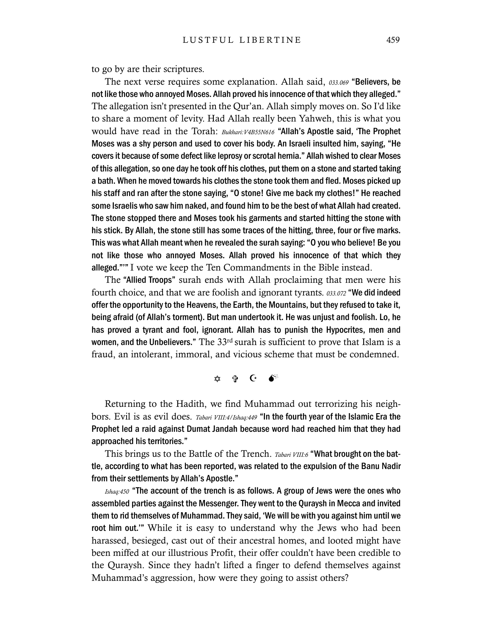to go by are their scriptures.

The next verse requires some explanation. Allah said, *033.069* "Believers, be not like those who annoyed Moses. Allah proved his innocence of that which they alleged." The allegation isn't presented in the Qur'an. Allah simply moves on. So I'd like to share a moment of levity. Had Allah really been Yahweh, this is what you would have read in the Torah: *Bukhari:V4B55N616* "Allah's Apostle said, 'The Prophet Moses was a shy person and used to cover his body. An Israeli insulted him, saying, "He covers it because of some defect like leprosy or scrotal hernia." Allah wished to clear Moses of this allegation, so one day he took off his clothes, put them on a stone and started taking a bath. When he moved towards his clothes the stone took them and fled. Moses picked up his staff and ran after the stone saying, "O stone! Give me back my clothes!" He reached some Israelis who saw him naked, and found him to be the best of what Allah had created. The stone stopped there and Moses took his garments and started hitting the stone with his stick. By Allah, the stone still has some traces of the hitting, three, four or five marks. This was what Allah meant when he revealed the surah saying: "O you who believe! Be you not like those who annoyed Moses. Allah proved his innocence of that which they alleged."'" I vote we keep the Ten Commandments in the Bible instead.

The "Allied Troops" surah ends with Allah proclaiming that men were his fourth choice, and that we are foolish and ignorant tyrants. *033.072* "We did indeed offer the opportunity to the Heavens, the Earth, the Mountains, but they refused to take it, being afraid (of Allah's torment). But man undertook it. He was unjust and foolish. Lo, he has proved a tyrant and fool, ignorant. Allah has to punish the Hypocrites, men and women, and the Unbelievers." The  $33<sup>rd</sup>$  surah is sufficient to prove that Islam is a fraud, an intolerant, immoral, and vicious scheme that must be condemned.

 $\uplus$   $\uplus$   $\uplus$   $\uplus$   $\uplus$ 

Returning to the Hadith, we find Muhammad out terrorizing his neighbors. Evil is as evil does. *Tabari VIII:4/Ishaq:449* "In the fourth year of the Islamic Era the Prophet led a raid against Dumat Jandah because word had reached him that they had approached his territories."

This brings us to the Battle of the Trench. *Tabari VIII:6* "What brought on the battle, according to what has been reported, was related to the expulsion of the Banu Nadir from their settlements by Allah's Apostle."

*Ishaq:450* "The account of the trench is as follows. A group of Jews were the ones who assembled parties against the Messenger. They went to the Quraysh in Mecca and invited them to rid themselves of Muhammad. They said, 'We will be with you against him until we root him out.'" While it is easy to understand why the Jews who had been harassed, besieged, cast out of their ancestral homes, and looted might have been miffed at our illustrious Profit, their offer couldn't have been credible to the Quraysh. Since they hadn't lifted a finger to defend themselves against Muhammad's aggression, how were they going to assist others?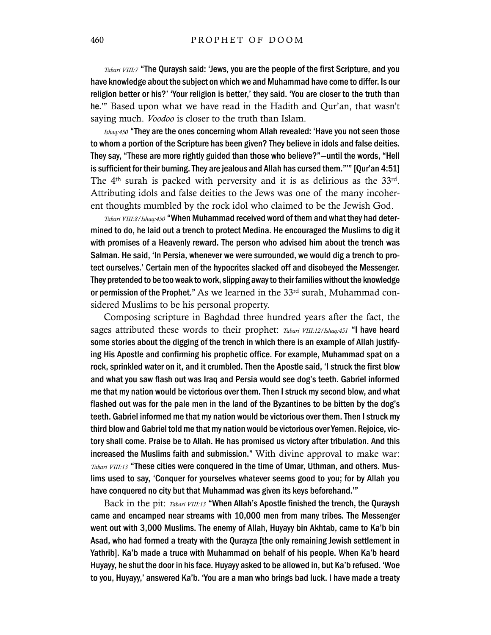*Tabari VIII:7* "The Quraysh said: 'Jews, you are the people of the first Scripture, and you have knowledge about the subject on which we and Muhammad have come to differ. Is our religion better or his?' 'Your religion is better,' they said. 'You are closer to the truth than he.'" Based upon what we have read in the Hadith and Qur'an, that wasn't saying much. *Voodoo* is closer to the truth than Islam.

*Ishaq:450* "They are the ones concerning whom Allah revealed: 'Have you not seen those to whom a portion of the Scripture has been given? They believe in idols and false deities. They say, "These are more rightly guided than those who believe?"—until the words, "Hell is sufficient for their burning. They are jealous and Allah has cursed them."'" [Qur'an 4:51] The 4th surah is packed with perversity and it is as delirious as the 33rd. Attributing idols and false deities to the Jews was one of the many incoherent thoughts mumbled by the rock idol who claimed to be the Jewish God.

*Tabari VIII:8/Ishaq:450* "When Muhammad received word of them and what they had determined to do, he laid out a trench to protect Medina. He encouraged the Muslims to dig it with promises of a Heavenly reward. The person who advised him about the trench was Salman. He said, 'In Persia, whenever we were surrounded, we would dig a trench to protect ourselves.' Certain men of the hypocrites slacked off and disobeyed the Messenger. They pretended to be too weak to work, slipping away to their families without the knowledge or permission of the Prophet." As we learned in the  $33<sup>rd</sup>$  surah, Muhammad considered Muslims to be his personal property.

Composing scripture in Baghdad three hundred years after the fact, the sages attributed these words to their prophet: *Tabari VIII:12/Ishaq:451* "I have heard some stories about the digging of the trench in which there is an example of Allah justifying His Apostle and confirming his prophetic office. For example, Muhammad spat on a rock, sprinkled water on it, and it crumbled. Then the Apostle said, 'I struck the first blow and what you saw flash out was Iraq and Persia would see dog's teeth. Gabriel informed me that my nation would be victorious over them. Then I struck my second blow, and what flashed out was for the pale men in the land of the Byzantines to be bitten by the dog's teeth. Gabriel informed me that my nation would be victorious over them. Then I struck my third blow and Gabriel told me that my nation would be victorious over Yemen. Rejoice, victory shall come. Praise be to Allah. He has promised us victory after tribulation. And this increased the Muslims faith and submission." With divine approval to make war: *Tabari VIII:13* "These cities were conquered in the time of Umar, Uthman, and others. Muslims used to say, 'Conquer for yourselves whatever seems good to you; for by Allah you have conquered no city but that Muhammad was given its keys beforehand.'"

Back in the pit: *Tabari VIII:13* "When Allah's Apostle finished the trench, the Quraysh came and encamped near streams with 10,000 men from many tribes. The Messenger went out with 3,000 Muslims. The enemy of Allah, Huyayy bin Akhtab, came to Ka'b bin Asad, who had formed a treaty with the Qurayza [the only remaining Jewish settlement in Yathrib]. Ka'b made a truce with Muhammad on behalf of his people. When Ka'b heard Huyayy, he shut the door in his face. Huyayy asked to be allowed in, but Ka'b refused. 'Woe to you, Huyayy,' answered Ka'b. 'You are a man who brings bad luck. I have made a treaty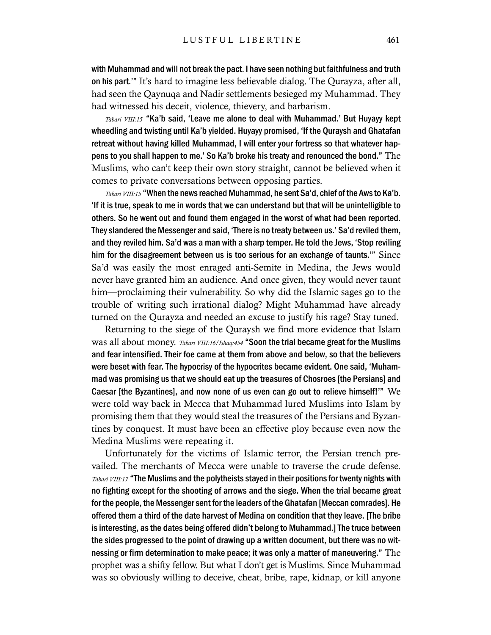with Muhammad and will not break the pact. I have seen nothing but faithfulness and truth on his part.'" It's hard to imagine less believable dialog. The Qurayza, after all, had seen the Qaynuqa and Nadir settlements besieged my Muhammad. They had witnessed his deceit, violence, thievery, and barbarism.

*Tabari VIII:15* "Ka'b said, 'Leave me alone to deal with Muhammad.' But Huyayy kept wheedling and twisting until Ka'b yielded. Huyayy promised, 'If the Quraysh and Ghatafan retreat without having killed Muhammad, I will enter your fortress so that whatever happens to you shall happen to me.' So Ka'b broke his treaty and renounced the bond." The Muslims, who can't keep their own story straight, cannot be believed when it comes to private conversations between opposing parties.

*Tabari VIII:15* "When the news reached Muhammad, he sent Sa'd, chief of the Aws to Ka'b. 'If it is true, speak to me in words that we can understand but that will be unintelligible to others. So he went out and found them engaged in the worst of what had been reported. They slandered the Messenger and said, 'There is no treaty between us.' Sa'd reviled them, and they reviled him. Sa'd was a man with a sharp temper. He told the Jews, 'Stop reviling him for the disagreement between us is too serious for an exchange of taunts.'" Since Sa'd was easily the most enraged anti-Semite in Medina, the Jews would never have granted him an audience. And once given, they would never taunt him—proclaiming their vulnerability. So why did the Islamic sages go to the trouble of writing such irrational dialog? Might Muhammad have already turned on the Qurayza and needed an excuse to justify his rage? Stay tuned.

Returning to the siege of the Quraysh we find more evidence that Islam was all about money. *Tabari VIII:16/Ishaq:454* "Soon the trial became great for the Muslims and fear intensified. Their foe came at them from above and below, so that the believers were beset with fear. The hypocrisy of the hypocrites became evident. One said, 'Muhammad was promising us that we should eat up the treasures of Chosroes [the Persians] and Caesar [the Byzantines], and now none of us even can go out to relieve himself!'" We were told way back in Mecca that Muhammad lured Muslims into Islam by promising them that they would steal the treasures of the Persians and Byzantines by conquest. It must have been an effective ploy because even now the Medina Muslims were repeating it.

Unfortunately for the victims of Islamic terror, the Persian trench prevailed. The merchants of Mecca were unable to traverse the crude defense. *Tabari VIII:17* "The Muslims and the polytheists stayed in their positions for twenty nights with no fighting except for the shooting of arrows and the siege. When the trial became great for the people, the Messenger sent for the leaders of the Ghatafan [Meccan comrades]. He offered them a third of the date harvest of Medina on condition that they leave. [The bribe is interesting, as the dates being offered didn't belong to Muhammad.] The truce between the sides progressed to the point of drawing up a written document, but there was no witnessing or firm determination to make peace; it was only a matter of maneuvering." The prophet was a shifty fellow. But what I don't get is Muslims. Since Muhammad was so obviously willing to deceive, cheat, bribe, rape, kidnap, or kill anyone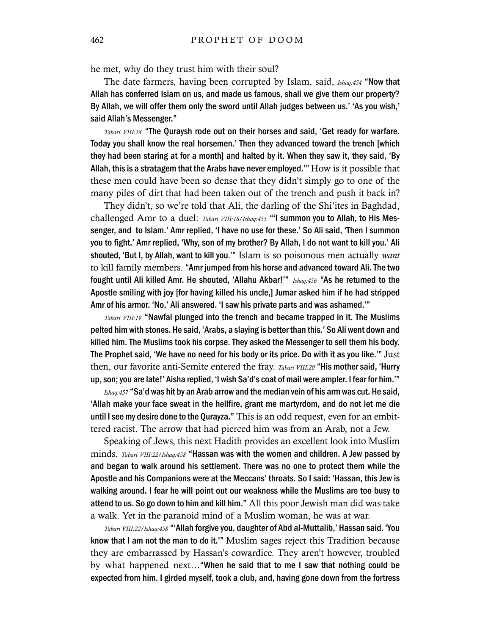he met, why do they trust him with their soul?

The date farmers, having been corrupted by Islam, said, *Ishaq:454* "Now that Allah has conferred Islam on us, and made us famous, shall we give them our property? By Allah, we will offer them only the sword until Allah judges between us.' 'As you wish,' said Allah's Messenger."

*Tabari VIII:18* "The Quraysh rode out on their horses and said, 'Get ready for warfare. Today you shall know the real horsemen.' Then they advanced toward the trench [which they had been staring at for a month] and halted by it. When they saw it, they said, 'By Allah, this is a stratagem that the Arabs have never employed.'" How is it possible that these men could have been so dense that they didn't simply go to one of the many piles of dirt that had been taken out of the trench and push it back in?

They didn't, so we're told that Ali, the darling of the Shi'ites in Baghdad, challenged Amr to a duel: *Tabari VIII:18/Ishaq:455* "'I summon you to Allah, to His Messenger, and to Islam.' Amr replied, 'I have no use for these.' So Ali said, 'Then I summon you to fight.' Amr replied, 'Why, son of my brother? By Allah, I do not want to kill you.' Ali shouted, 'But I, by Allah, want to kill you.'" Islam is so poisonous men actually *want* to kill family members. "Amr jumped from his horse and advanced toward Ali. The two fought until Ali killed Amr. He shouted, 'Allahu Akbar!'" *Ishaq:456* "As he returned to the Apostle smiling with joy [for having killed his uncle,] Jumar asked him if he had stripped Amr of his armor. 'No,' Ali answered. 'I saw his private parts and was ashamed.'"

*Tabari VIII:19* "Nawfal plunged into the trench and became trapped in it. The Muslims pelted him with stones. He said, 'Arabs, a slaying is better than this.' So Ali went down and killed him. The Muslims took his corpse. They asked the Messenger to sell them his body. The Prophet said, 'We have no need for his body or its price. Do with it as you like.'" Just then, our favorite anti-Semite entered the fray. *Tabari VIII:20* "His mother said, 'Hurry up, son; you are late!' Aisha replied, 'I wish Sa'd's coat of mail were ampler. I fear for him.'"

*Ishaq:457* "Sa'd was hit by an Arab arrow and the median vein of his arm was cut. He said, 'Allah make your face sweat in the hellfire, grant me martyrdom, and do not let me die until I see my desire done to the Qurayza." This is an odd request, even for an embittered racist. The arrow that had pierced him was from an Arab, not a Jew.

Speaking of Jews, this next Hadith provides an excellent look into Muslim minds. *Tabari VIII:22/Ishaq:458* "Hassan was with the women and children. A Jew passed by and began to walk around his settlement. There was no one to protect them while the Apostle and his Companions were at the Meccans' throats. So I said: 'Hassan, this Jew is walking around. I fear he will point out our weakness while the Muslims are too busy to attend to us. So go down to him and kill him." All this poor Jewish man did was take a walk. Yet in the paranoid mind of a Muslim woman, he was at war.

*Tabari VIII:22/Ishaq:458* "'Allah forgive you, daughter of Abd al-Muttalib,' Hassan said. 'You know that I am not the man to do it.'" Muslim sages reject this Tradition because they are embarrassed by Hassan's cowardice. They aren't however, troubled by what happened next…"When he said that to me I saw that nothing could be expected from him. I girded myself, took a club, and, having gone down from the fortress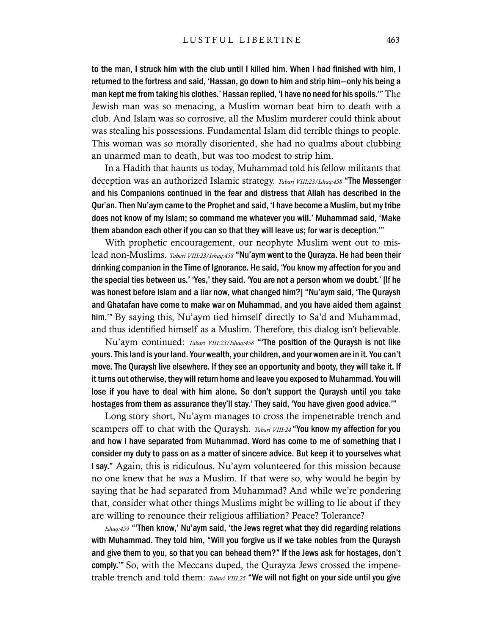to the man, I struck him with the club until I killed him. When I had finished with him, I returned to the fortress and said, 'Hassan, go down to him and strip him—only his being a man kept me from taking his clothes.' Hassan replied, 'I have no need for his spoils.'" The Jewish man was so menacing, a Muslim woman beat him to death with a club. And Islam was so corrosive, all the Muslim murderer could think about was stealing his possessions. Fundamental Islam did terrible things to people. This woman was so morally disoriented, she had no qualms about clubbing an unarmed man to death, but was too modest to strip him.

In a Hadith that haunts us today, Muhammad told his fellow militants that deception was an authorized Islamic strategy. *Tabari VIII:23/Ishaq:458* "The Messenger and his Companions continued in the fear and distress that Allah has described in the Qur'an. Then Nu'aym came to the Prophet and said, 'I have become a Muslim, but my tribe does not know of my Islam; so command me whatever you will.' Muhammad said, 'Make them abandon each other if you can so that they will leave us; for war is deception.'"

With prophetic encouragement, our neophyte Muslim went out to mislead non-Muslims. *Tabari VIII:23/Ishaq:458* "Nu'aym went to the Qurayza. He had been their drinking companion in the Time of Ignorance. He said, 'You know my affection for you and the special ties between us.' 'Yes,' they said. 'You are not a person whom we doubt.' [If he was honest before Islam and a liar now, what changed him?] "Nu'aym said, 'The Quraysh and Ghatafan have come to make war on Muhammad, and you have aided them against him.'" By saying this, Nu'aym tied himself directly to Sa'd and Muhammad, and thus identified himself as a Muslim. Therefore, this dialog isn't believable.

Nu'aym continued: *Tabari VIII:23/Ishaq:458* "'The position of the Quraysh is not like yours. This land is your land. Your wealth, your children, and your women are in it. You can't move. The Quraysh live elsewhere. If they see an opportunity and booty, they will take it. If it turns out otherwise, they will return home and leave you exposed to Muhammad. You will lose if you have to deal with him alone. So don't support the Quraysh until you take hostages from them as assurance they'll stay.' They said, 'You have given good advice.'"

Long story short, Nu'aym manages to cross the impenetrable trench and scampers off to chat with the Quraysh. *Tabari VIII:24* "You know my affection for you and how I have separated from Muhammad. Word has come to me of something that I consider my duty to pass on as a matter of sincere advice. But keep it to yourselves what I say." Again, this is ridiculous. Nu'aym volunteered for this mission because no one knew that he *was* a Muslim. If that were so, why would he begin by saying that he had separated from Muhammad? And while we're pondering that, consider what other things Muslims might be willing to lie about if they are willing to renounce their religious affiliation? Peace? Tolerance?

*Ishaq:459* "'Then know,' Nu'aym said, 'the Jews regret what they did regarding relations with Muhammad. They told him, "Will you forgive us if we take nobles from the Quraysh and give them to you, so that you can behead them?" If the Jews ask for hostages, don't comply.'" So, with the Meccans duped, the Qurayza Jews crossed the impenetrable trench and told them: *Tabari VIII:25* "We will not fight on your side until you give